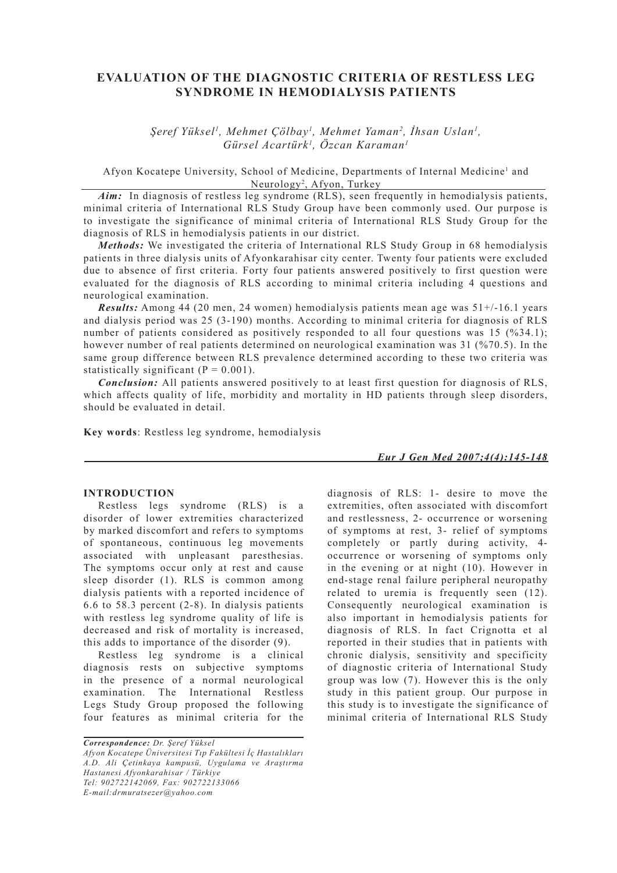# **EVALUATION OF THE DIAGNOSTIC CRITERIA OF RESTLESS LEG SYNDROME IN HEMODIALYSIS PATIENTS**

*Şeref Yüksel1 , Mehmet Çölbay1 , Mehmet Yaman2 , İhsan Uslan1 , Gürsel Acartürk1 , Özcan Karaman1*

Afyon Kocatepe University, School of Medicine, Departments of Internal Medicine<sup>1</sup> and Neurology<sup>2</sup>, Afyon, Turkey

Aim: In diagnosis of restless leg syndrome (RLS), seen frequently in hemodialysis patients, minimal criteria of International RLS Study Group have been commonly used. Our purpose is to investigate the significance of minimal criteria of International RLS Study Group for the diagnosis of RLS in hemodialysis patients in our district.

*Methods:* We investigated the criteria of International RLS Study Group in 68 hemodialysis patients in three dialysis units of Afyonkarahisar city center. Twenty four patients were excluded due to absence of first criteria. Forty four patients answered positively to first question were evaluated for the diagnosis of RLS according to minimal criteria including 4 questions and neurological examination.

*Results:* Among 44 (20 men, 24 women) hemodialysis patients mean age was 51+/-16.1 years and dialysis period was 25 (3-190) months. According to minimal criteria for diagnosis of RLS number of patients considered as positively responded to all four questions was 15 (%34.1); however number of real patients determined on neurological examination was 31 (%70.5). In the same group difference between RLS prevalence determined according to these two criteria was statistically significant  $(P = 0.001)$ .

*Conclusion:* All patients answered positively to at least first question for diagnosis of RLS, which affects quality of life, morbidity and mortality in HD patients through sleep disorders, should be evaluated in detail.

**Key words**: Restless leg syndrome, hemodialysis

## **INTRODUCTION**

Restless legs syndrome (RLS) is a disorder of lower extremities characterized by marked discomfort and refers to symptoms of spontaneous, continuous leg movements associated with unpleasant paresthesias. The symptoms occur only at rest and cause sleep disorder (1). RLS is common among dialysis patients with a reported incidence of 6.6 to 58.3 percent (2-8). In dialysis patients with restless leg syndrome quality of life is decreased and risk of mortality is increased, this adds to importance of the disorder (9).

Restless leg syndrome is a clinical diagnosis rests on subjective symptoms in the presence of a normal neurological examination. The International Restless Legs Study Group proposed the following four features as minimal criteria for the

*Correspondence: Dr. Şeref Yüksel Afyon Kocatepe Üniversitesi Tıp Fakültesi İç Hastalıkları A.D. Ali Çetinkaya kampusü, Uygulama ve Araştırma Hastanesi Afyonkarahisar / Türkiye Tel: 902722142069, Fax: 902722133066 E-mail:drmuratsezer@yahoo.com*

*Eur J Gen Med 2007;4(4):145-148*

diagnosis of RLS: 1- desire to move the extremities, often associated with discomfort and restlessness, 2- occurrence or worsening of symptoms at rest, 3- relief of symptoms completely or partly during activity, 4 occurrence or worsening of symptoms only in the evening or at night (10). However in end-stage renal failure peripheral neuropathy related to uremia is frequently seen (12). Consequently neurological examination is also important in hemodialysis patients for diagnosis of RLS. In fact Crignotta et al reported in their studies that in patients with chronic dialysis, sensitivity and specificity of diagnostic criteria of International Study group was low (7). However this is the only study in this patient group. Our purpose in this study is to investigate the significance of minimal criteria of International RLS Study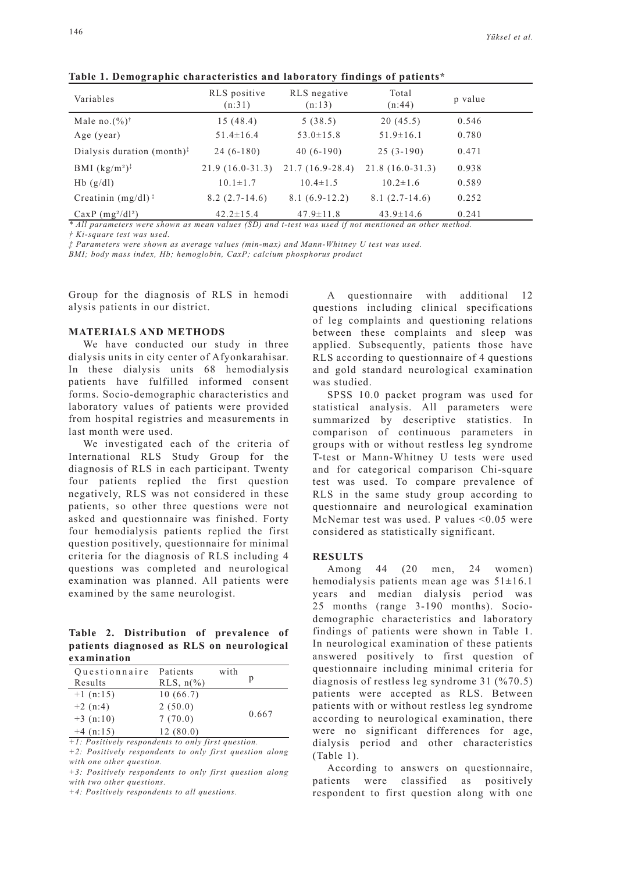| Variables                                 | RLS positive<br>(n:31) | RLS negative<br>(n:13) | Total<br>(n:44)   | p value |
|-------------------------------------------|------------------------|------------------------|-------------------|---------|
| Male no. $(\%)^{\dagger}$                 | 15(48.4)               | 5(38.5)                | 20(45.5)          | 0.546   |
| Age (year)                                | $51.4 \pm 16.4$        | $53.0 \pm 15.8$        | $51.9 \pm 16.1$   | 0.780   |
| Dialysis duration (month) $\frac{1}{x}$   | $24(6-180)$            | $40(6-190)$            | $25(3-190)$       | 0.471   |
| BMI $(kg/m^2)^{\ddagger}$                 | $21.9(16.0-31.3)$      | $21.7(16.9-28.4)$      | $21.8(16.0-31.3)$ | 0.938   |
| $Hb$ (g/dl)                               | $10.1 \pm 1.7$         | $10.4 \pm 1.5$         | $10.2 \pm 1.6$    | 0.589   |
| Creatinin $(mg/dl)$ <sup>:</sup>          | $8.2(2.7-14.6)$        | $8.1(6.9-12.2)$        | $8.1(2.7-14.6)$   | 0.252   |
| $CaxP$ (mg <sup>2</sup> /d <sup>2</sup> ) | $42.2 \pm 15.4$        | $47.9 \pm 11.8$        | $43.9 \pm 14.6$   | 0.241   |

**Table 1. Demographic characteristics and laboratory findings of patients\***

*\* All parameters were shown as mean values (SD) and t-test was used if not mentioned an other method. † Ki-square test was used.*

*‡ Parameters were shown as average values (min-max) and Mann-Whitney U test was used.*

*BMI; body mass index, Hb; hemoglobin, CaxP; calcium phosphorus product*

Group for the diagnosis of RLS in hemodi alysis patients in our district.

#### **MATERIALS AND METHODS**

We have conducted our study in three dialysis units in city center of Afyonkarahisar. In these dialysis units 68 hemodialysis patients have fulfilled informed consent forms. Socio-demographic characteristics and laboratory values of patients were provided from hospital registries and measurements in last month were used.

We investigated each of the criteria of International RLS Study Group for the diagnosis of RLS in each participant. Twenty four patients replied the first question negatively, RLS was not considered in these patients, so other three questions were not asked and questionnaire was finished. Forty four hemodialysis patients replied the first question positively, questionnaire for minimal criteria for the diagnosis of RLS including 4 questions was completed and neurological examination was planned. All patients were examined by the same neurologist.

**Table 2. Distribution of prevalence of patients diagnosed as RLS on neurological examination**

| Questionnaire | Patients              | with |       |
|---------------|-----------------------|------|-------|
| Results       | RLS, $n\frac{\%}{\ }$ |      | р     |
| $+1$ (n:15)   | 10(66.7)              |      |       |
| $+2(n:4)$     | 2(50.0)               |      | 0.667 |
| $+3$ (n:10)   | 7(70.0)               |      |       |
| $+4$ (n:15)   | 12(80.0)              |      |       |

*+1: Positively respondents to only first question. +2: Positively respondents to only first question along with one other question.*

*+3: Positively respondents to only first question along with two other questions.*

*+4: Positively respondents to all questions.*

A questionnaire with additional 12 questions including clinical specifications of leg complaints and questioning relations between these complaints and sleep was applied. Subsequently, patients those have RLS according to questionnaire of 4 questions and gold standard neurological examination was studied.

SPSS 10.0 packet program was used for statistical analysis. All parameters were summarized by descriptive statistics. In comparison of continuous parameters in groups with or without restless leg syndrome T-test or Mann-Whitney U tests were used and for categorical comparison Chi-square test was used. To compare prevalence of RLS in the same study group according to questionnaire and neurological examination McNemar test was used. P values <0.05 were considered as statistically significant.

#### **RESULTS**

Among 44 (20 men, 24 women) hemodialysis patients mean age was  $51\pm16.1$ years and median dialysis period was 25 months (range 3-190 months). Sociodemographic characteristics and laboratory findings of patients were shown in Table 1. In neurological examination of these patients answered positively to first question of questionnaire including minimal criteria for diagnosis of restless leg syndrome 31 (%70.5) patients were accepted as RLS. Between patients with or without restless leg syndrome according to neurological examination, there were no significant differences for age, dialysis period and other characteristics (Table 1).

According to answers on questionnaire, patients were classified as positively respondent to first question along with one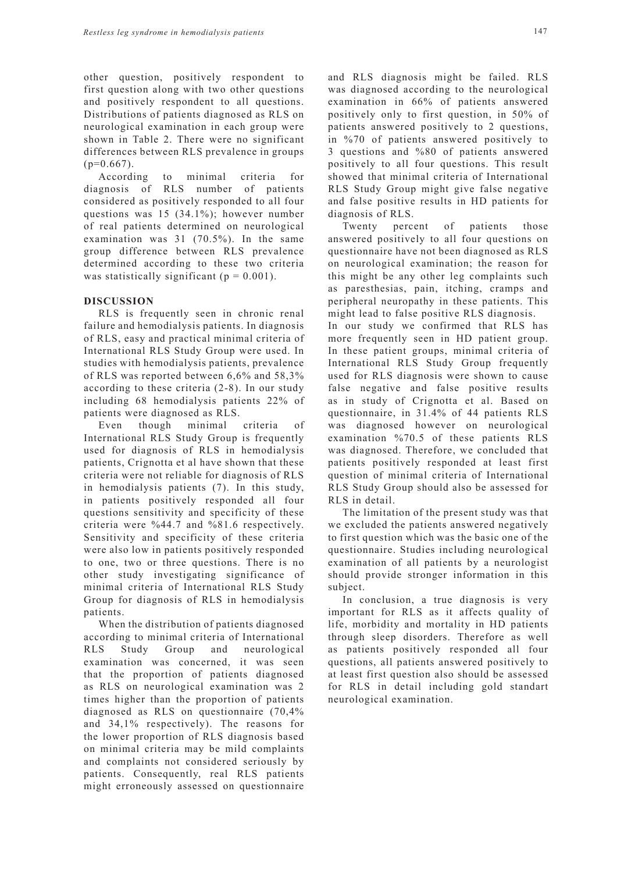other question, positively respondent to first question along with two other questions and positively respondent to all questions. Distributions of patients diagnosed as RLS on neurological examination in each group were shown in Table 2. There were no significant differences between RLS prevalence in groups  $(p=0.667)$ .

According to minimal criteria for diagnosis of RLS number of patients considered as positively responded to all four questions was 15 (34.1%); however number of real patients determined on neurological examination was 31 (70.5%). In the same group difference between RLS prevalence determined according to these two criteria was statistically significant ( $p = 0.001$ ).

### **DISCUSSION**

RLS is frequently seen in chronic renal failure and hemodialysis patients. In diagnosis of RLS, easy and practical minimal criteria of International RLS Study Group were used. In studies with hemodialysis patients, prevalence of RLS was reported between 6,6% and 58,3% according to these criteria (2-8). In our study including 68 hemodialysis patients 22% of patients were diagnosed as RLS.

Even though minimal criteria of International RLS Study Group is frequently used for diagnosis of RLS in hemodialysis patients, Crignotta et al have shown that these criteria were not reliable for diagnosis of RLS in hemodialysis patients (7). In this study, in patients positively responded all four questions sensitivity and specificity of these criteria were %44.7 and %81.6 respectively. Sensitivity and specificity of these criteria were also low in patients positively responded to one, two or three questions. There is no other study investigating significance of minimal criteria of International RLS Study Group for diagnosis of RLS in hemodialysis patients.

When the distribution of patients diagnosed according to minimal criteria of International RLS Study Group and neurological examination was concerned, it was seen that the proportion of patients diagnosed as RLS on neurological examination was 2 times higher than the proportion of patients diagnosed as RLS on questionnaire (70,4% and 34,1% respectively). The reasons for the lower proportion of RLS diagnosis based on minimal criteria may be mild complaints and complaints not considered seriously by patients. Consequently, real RLS patients might erroneously assessed on questionnaire and RLS diagnosis might be failed. RLS was diagnosed according to the neurological examination in 66% of patients answered positively only to first question, in 50% of patients answered positively to 2 questions, in %70 of patients answered positively to 3 questions and %80 of patients answered positively to all four questions. This result showed that minimal criteria of International RLS Study Group might give false negative and false positive results in HD patients for diagnosis of RLS.

Twenty percent of patients those answered positively to all four questions on questionnaire have not been diagnosed as RLS on neurological examination; the reason for this might be any other leg complaints such as paresthesias, pain, itching, cramps and peripheral neuropathy in these patients. This might lead to false positive RLS diagnosis.

In our study we confirmed that RLS has more frequently seen in HD patient group. In these patient groups, minimal criteria of International RLS Study Group frequently used for RLS diagnosis were shown to cause false negative and false positive results as in study of Crignotta et al. Based on questionnaire, in 31.4% of 44 patients RLS was diagnosed however on neurological examination %70.5 of these patients RLS was diagnosed. Therefore, we concluded that patients positively responded at least first question of minimal criteria of International RLS Study Group should also be assessed for RLS in detail.

The limitation of the present study was that we excluded the patients answered negatively to first question which was the basic one of the questionnaire. Studies including neurological examination of all patients by a neurologist should provide stronger information in this subject.

In conclusion, a true diagnosis is very important for RLS as it affects quality of life, morbidity and mortality in HD patients through sleep disorders. Therefore as well as patients positively responded all four questions, all patients answered positively to at least first question also should be assessed for RLS in detail including gold standart neurological examination.